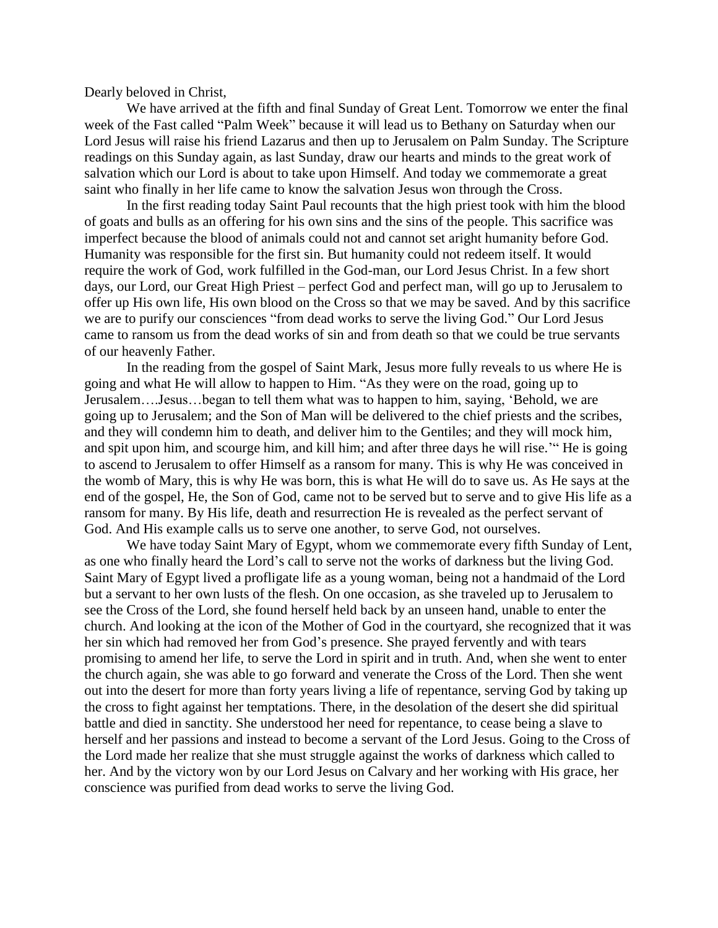Dearly beloved in Christ,

We have arrived at the fifth and final Sunday of Great Lent. Tomorrow we enter the final week of the Fast called "Palm Week" because it will lead us to Bethany on Saturday when our Lord Jesus will raise his friend Lazarus and then up to Jerusalem on Palm Sunday. The Scripture readings on this Sunday again, as last Sunday, draw our hearts and minds to the great work of salvation which our Lord is about to take upon Himself. And today we commemorate a great saint who finally in her life came to know the salvation Jesus won through the Cross.

In the first reading today Saint Paul recounts that the high priest took with him the blood of goats and bulls as an offering for his own sins and the sins of the people. This sacrifice was imperfect because the blood of animals could not and cannot set aright humanity before God. Humanity was responsible for the first sin. But humanity could not redeem itself. It would require the work of God, work fulfilled in the God-man, our Lord Jesus Christ. In a few short days, our Lord, our Great High Priest – perfect God and perfect man, will go up to Jerusalem to offer up His own life, His own blood on the Cross so that we may be saved. And by this sacrifice we are to purify our consciences "from dead works to serve the living God." Our Lord Jesus came to ransom us from the dead works of sin and from death so that we could be true servants of our heavenly Father.

In the reading from the gospel of Saint Mark, Jesus more fully reveals to us where He is going and what He will allow to happen to Him. "As they were on the road, going up to Jerusalem….Jesus…began to tell them what was to happen to him, saying, 'Behold, we are going up to Jerusalem; and the Son of Man will be delivered to the chief priests and the scribes, and they will condemn him to death, and deliver him to the Gentiles; and they will mock him, and spit upon him, and scourge him, and kill him; and after three days he will rise.'" He is going to ascend to Jerusalem to offer Himself as a ransom for many. This is why He was conceived in the womb of Mary, this is why He was born, this is what He will do to save us. As He says at the end of the gospel, He, the Son of God, came not to be served but to serve and to give His life as a ransom for many. By His life, death and resurrection He is revealed as the perfect servant of God. And His example calls us to serve one another, to serve God, not ourselves.

We have today Saint Mary of Egypt, whom we commemorate every fifth Sunday of Lent, as one who finally heard the Lord's call to serve not the works of darkness but the living God. Saint Mary of Egypt lived a profligate life as a young woman, being not a handmaid of the Lord but a servant to her own lusts of the flesh. On one occasion, as she traveled up to Jerusalem to see the Cross of the Lord, she found herself held back by an unseen hand, unable to enter the church. And looking at the icon of the Mother of God in the courtyard, she recognized that it was her sin which had removed her from God's presence. She prayed fervently and with tears promising to amend her life, to serve the Lord in spirit and in truth. And, when she went to enter the church again, she was able to go forward and venerate the Cross of the Lord. Then she went out into the desert for more than forty years living a life of repentance, serving God by taking up the cross to fight against her temptations. There, in the desolation of the desert she did spiritual battle and died in sanctity. She understood her need for repentance, to cease being a slave to herself and her passions and instead to become a servant of the Lord Jesus. Going to the Cross of the Lord made her realize that she must struggle against the works of darkness which called to her. And by the victory won by our Lord Jesus on Calvary and her working with His grace, her conscience was purified from dead works to serve the living God.